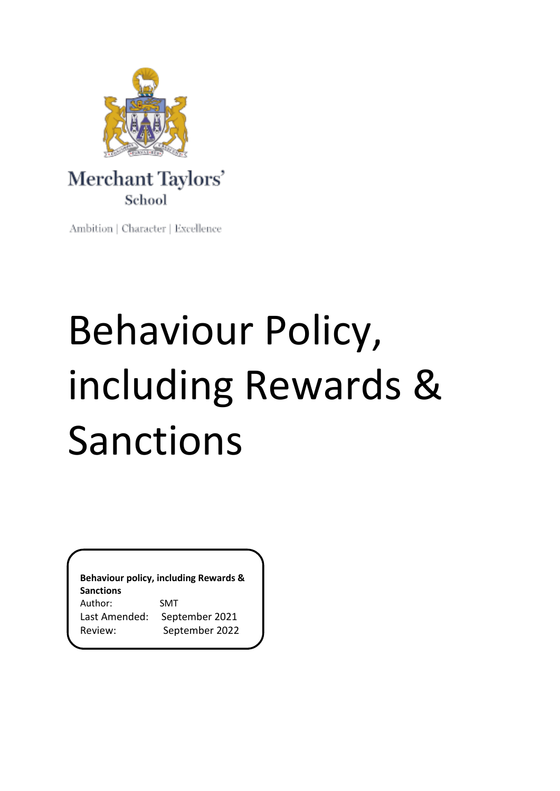

Ambition | Character | Excellence

# Behaviour Policy, including Rewards & Sanctions

**Behaviour policy, including Rewards & Sanctions** Author: SMT Last Amended: September 2021 Review: September 2022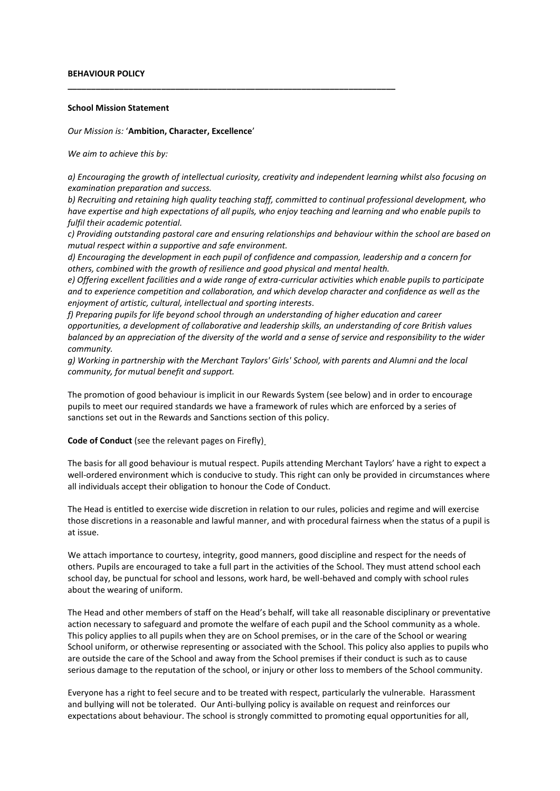#### **BEHAVIOUR POLICY**

#### **School Mission Statement**

#### *Our Mission is:* '**Ambition, Character, Excellence**'

*We aim to achieve this by:*

*a) Encouraging the growth of intellectual curiosity, creativity and independent learning whilst also focusing on examination preparation and success.*

**\_\_\_\_\_\_\_\_\_\_\_\_\_\_\_\_\_\_\_\_\_\_\_\_\_\_\_\_\_\_\_\_\_\_\_\_\_\_\_\_\_\_\_\_\_\_\_\_\_\_\_\_\_\_\_\_\_\_\_\_\_\_\_\_\_\_\_\_\_\_**

*b) Recruiting and retaining high quality teaching staff, committed to continual professional development, who have expertise and high expectations of all pupils, who enjoy teaching and learning and who enable pupils to fulfil their academic potential.*

*c) Providing outstanding pastoral care and ensuring relationships and behaviour within the school are based on mutual respect within a supportive and safe environment.*

*d) Encouraging the development in each pupil of confidence and compassion, leadership and a concern for others, combined with the growth of resilience and good physical and mental health.*

*e) Offering excellent facilities and a wide range of extra-curricular activities which enable pupils to participate and to experience competition and collaboration, and which develop character and confidence as well as the enjoyment of artistic, cultural, intellectual and sporting interests.*

*f) Preparing pupils for life beyond school through an understanding of higher education and career opportunities, a development of collaborative and leadership skills, an understanding of core British values balanced by an appreciation of the diversity of the world and a sense of service and responsibility to the wider community.*

*g) Working in partnership with the Merchant Taylors' Girls' School, with parents and Alumni and the local community, for mutual benefit and support.*

The promotion of good behaviour is implicit in our Rewards System (see below) and in order to encourage pupils to meet our required standards we have a framework of rules which are enforced by a series of sanctions set out in the Rewards and Sanctions section of this policy.

**Code of Conduct** (see the relevant pages on Firefly)

The basis for all good behaviour is mutual respect. Pupils attending Merchant Taylors' have a right to expect a well-ordered environment which is conducive to study. This right can only be provided in circumstances where all individuals accept their obligation to honour the Code of Conduct.

The Head is entitled to exercise wide discretion in relation to our rules, policies and regime and will exercise those discretions in a reasonable and lawful manner, and with procedural fairness when the status of a pupil is at issue.

We attach importance to courtesy, integrity, good manners, good discipline and respect for the needs of others. Pupils are encouraged to take a full part in the activities of the School. They must attend school each school day, be punctual for school and lessons, work hard, be well-behaved and comply with school rules about the wearing of uniform.

The Head and other members of staff on the Head's behalf, will take all reasonable disciplinary or preventative action necessary to safeguard and promote the welfare of each pupil and the School community as a whole. This policy applies to all pupils when they are on School premises, or in the care of the School or wearing School uniform, or otherwise representing or associated with the School. This policy also applies to pupils who are outside the care of the School and away from the School premises if their conduct is such as to cause serious damage to the reputation of the school, or injury or other loss to members of the School community.

Everyone has a right to feel secure and to be treated with respect, particularly the vulnerable.  Harassment and bullying will not be tolerated.  Our Anti-bullying policy is available on request and reinforces our expectations about behaviour. The school is strongly committed to promoting equal opportunities for all,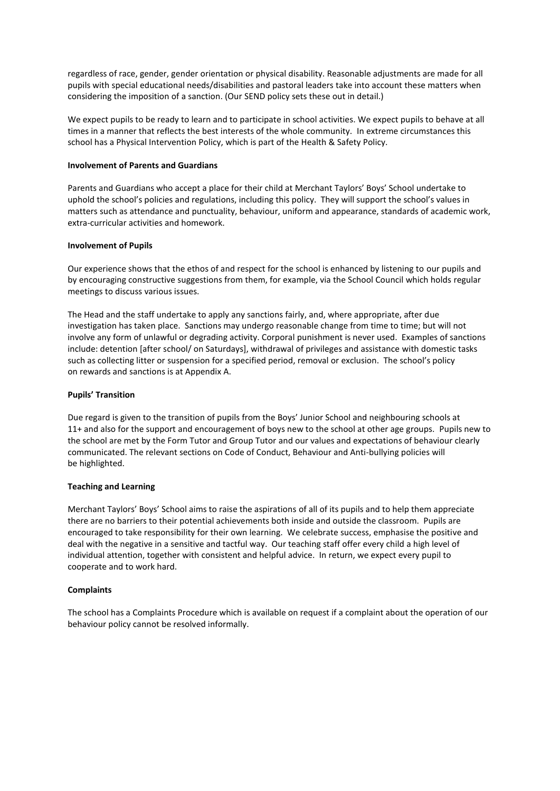regardless of race, gender, gender orientation or physical disability. Reasonable adjustments are made for all pupils with special educational needs/disabilities and pastoral leaders take into account these matters when considering the imposition of a sanction. (Our SEND policy sets these out in detail.)

We expect pupils to be ready to learn and to participate in school activities. We expect pupils to behave at all times in a manner that reflects the best interests of the whole community. In extreme circumstances this school has a Physical Intervention Policy, which is part of the Health & Safety Policy.

## **Involvement of Parents and Guardians**

Parents and Guardians who accept a place for their child at Merchant Taylors' Boys' School undertake to uphold the school's policies and regulations, including this policy.  They will support the school's values in matters such as attendance and punctuality, behaviour, uniform and appearance, standards of academic work, extra-curricular activities and homework.

## **Involvement of Pupils**

Our experience shows that the ethos of and respect for the school is enhanced by listening to our pupils and by encouraging constructive suggestions from them, for example, via the School Council which holds regular meetings to discuss various issues.

The Head and the staff undertake to apply any sanctions fairly, and, where appropriate, after due investigation has taken place.  Sanctions may undergo reasonable change from time to time; but will not involve any form of unlawful or degrading activity. Corporal punishment is never used.  Examples of sanctions include: detention [after school/ on Saturdays], withdrawal of privileges and assistance with domestic tasks such as collecting litter or suspension for a specified period, removal or exclusion.  The school's policy on rewards and sanctions is at Appendix A.

#### **Pupils' Transition**

Due regard is given to the transition of pupils from the Boys' Junior School and neighbouring schools at 11+ and also for the support and encouragement of boys new to the school at other age groups. Pupils new to the school are met by the Form Tutor and Group Tutor and our values and expectations of behaviour clearly communicated. The relevant sections on Code of Conduct, Behaviour and Anti-bullying policies will be highlighted.

#### **Teaching and Learning**

Merchant Taylors' Boys' School aims to raise the aspirations of all of its pupils and to help them appreciate there are no barriers to their potential achievements both inside and outside the classroom.  Pupils are encouraged to take responsibility for their own learning.  We celebrate success, emphasise the positive and deal with the negative in a sensitive and tactful way.  Our teaching staff offer every child a high level of individual attention, together with consistent and helpful advice.  In return, we expect every pupil to cooperate and to work hard.

# **Complaints**

The school has a Complaints Procedure which is available on request if a complaint about the operation of our behaviour policy cannot be resolved informally.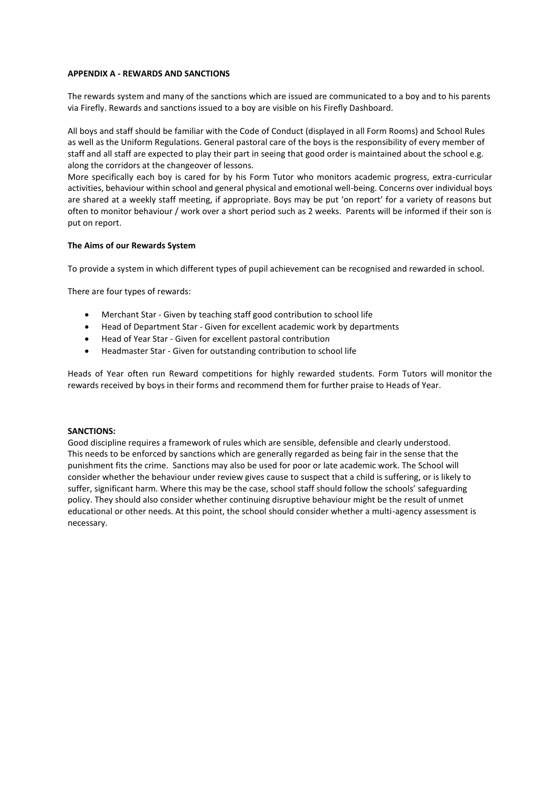## **APPENDIX A - REWARDS AND SANCTIONS**

The rewards system and many of the sanctions which are issued are communicated to a boy and to his parents via Firefly. Rewards and sanctions issued to a boy are visible on his Firefly Dashboard.

All boys and staff should be familiar with the Code of Conduct (displayed in all Form Rooms) and School Rules as well as the Uniform Regulations. General pastoral care of the boys is the responsibility of every member of staff and all staff are expected to play their part in seeing that good order is maintained about the school e.g. along the corridors at the changeover of lessons.

More specifically each boy is cared for by his Form Tutor who monitors academic progress, extra-curricular activities, behaviour within school and general physical and emotional well-being. Concerns over individual boys are shared at a weekly staff meeting, if appropriate. Boys may be put 'on report' for a variety of reasons but often to monitor behaviour / work over a short period such as 2 weeks.  Parents will be informed if their son is put on report.

# **The Aims of our Rewards System**

To provide a system in which different types of pupil achievement can be recognised and rewarded in school.

There are four types of rewards:

- Merchant Star Given by teaching staff good contribution to school life
- Head of Department Star Given for excellent academic work by departments
- Head of Year Star Given for excellent pastoral contribution
- Headmaster Star Given for outstanding contribution to school life

Heads of Year often run Reward competitions for highly rewarded students. Form Tutors will monitor the rewards received by boys in their forms and recommend them for further praise to Heads of Year.

#### **SANCTIONS:**

Good discipline requires a framework of rules which are sensible, defensible and clearly understood.  This needs to be enforced by sanctions which are generally regarded as being fair in the sense that the punishment fits the crime.  Sanctions may also be used for poor or late academic work. The School will consider whether the behaviour under review gives cause to suspect that a child is suffering, or is likely to suffer, significant harm. Where this may be the case, school staff should follow the schools' safeguarding policy. They should also consider whether continuing disruptive behaviour might be the result of unmet educational or other needs. At this point, the school should consider whether a multi-agency assessment is necessary.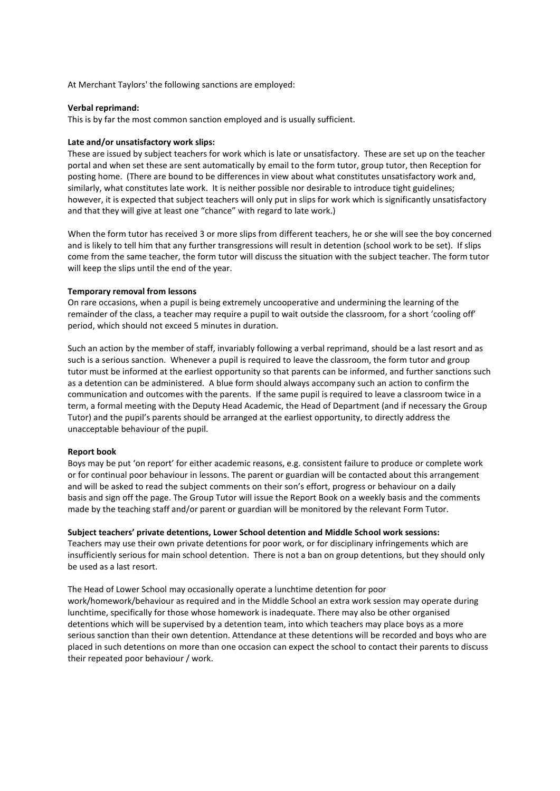At Merchant Taylors' the following sanctions are employed:

#### **Verbal reprimand:**

This is by far the most common sanction employed and is usually sufficient.

## **Late and/or unsatisfactory work slips:**

These are issued by subject teachers for work which is late or unsatisfactory.  These are set up on the teacher portal and when set these are sent automatically by email to the form tutor, group tutor, then Reception for posting home.  (There are bound to be differences in view about what constitutes unsatisfactory work and, similarly, what constitutes late work.  It is neither possible nor desirable to introduce tight guidelines; however, it is expected that subject teachers will only put in slips for work which is significantly unsatisfactory and that they will give at least one "chance" with regard to late work.)

When the form tutor has received 3 or more slips from different teachers, he or she will see the boy concerned and is likely to tell him that any further transgressions will result in detention (school work to be set).  If slips come from the same teacher, the form tutor will discuss the situation with the subject teacher. The form tutor will keep the slips until the end of the year.  

## **Temporary removal from lessons**

On rare occasions, when a pupil is being extremely uncooperative and undermining the learning of the remainder of the class, a teacher may require a pupil to wait outside the classroom, for a short 'cooling off' period, which should not exceed 5 minutes in duration.

Such an action by the member of staff, invariably following a verbal reprimand, should be a last resort and as such is a serious sanction. Whenever a pupil is required to leave the classroom, the form tutor and group tutor must be informed at the earliest opportunity so that parents can be informed, and further sanctions such as a detention can be administered. A blue form should always accompany such an action to confirm the communication and outcomes with the parents. If the same pupil is required to leave a classroom twice in a term, a formal meeting with the Deputy Head Academic, the Head of Department (and if necessary the Group Tutor) and the pupil's parents should be arranged at the earliest opportunity, to directly address the unacceptable behaviour of the pupil.

# **Report book**

Boys may be put 'on report' for either academic reasons, e.g. consistent failure to produce or complete work or for continual poor behaviour in lessons. The parent or guardian will be contacted about this arrangement and will be asked to read the subject comments on their son's effort, progress or behaviour on a daily basis and sign off the page. The Group Tutor will issue the Report Book on a weekly basis and the comments made by the teaching staff and/or parent or guardian will be monitored by the relevant Form Tutor.

#### **Subject teachers' private detentions, Lower School detention and Middle School work sessions:**

Teachers may use their own private detentions for poor work, or for disciplinary infringements which are insufficiently serious for main school detention.  There is not a ban on group detentions, but they should only be used as a last resort.

The Head of Lower School may occasionally operate a lunchtime detention for poor work/homework/behaviour as required and in the Middle School an extra work session may operate during lunchtime, specifically for those whose homework is inadequate. There may also be other organised detentions which will be supervised by a detention team, into which teachers may place boys as a more serious sanction than their own detention. Attendance at these detentions will be recorded and boys who are placed in such detentions on more than one occasion can expect the school to contact their parents to discuss their repeated poor behaviour / work.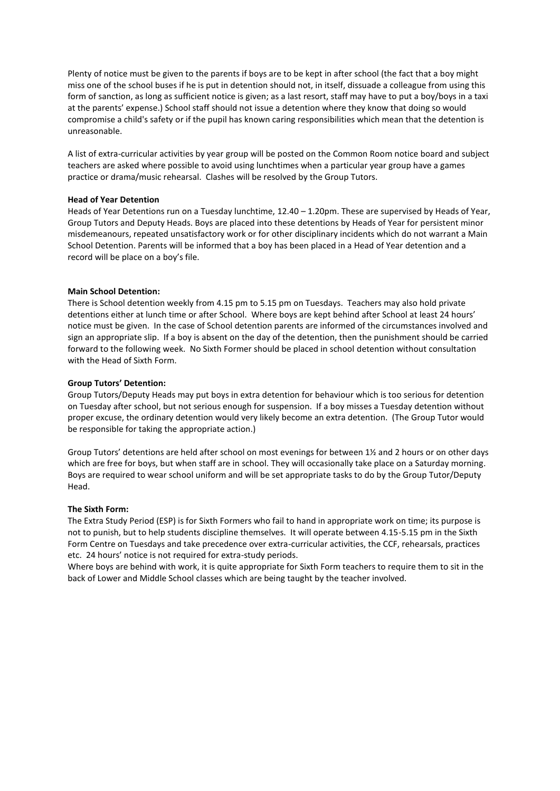Plenty of notice must be given to the parents if boys are to be kept in after school (the fact that a boy might miss one of the school buses if he is put in detention should not, in itself, dissuade a colleague from using this form of sanction, as long as sufficient notice is given; as a last resort, staff may have to put a boy/boys in a taxi at the parents' expense.) School staff should not issue a detention where they know that doing so would compromise a child's safety or if the pupil has known caring responsibilities which mean that the detention is unreasonable.

A list of extra-curricular activities by year group will be posted on the Common Room notice board and subject teachers are asked where possible to avoid using lunchtimes when a particular year group have a games practice or drama/music rehearsal.  Clashes will be resolved by the Group Tutors.

## **Head of Year Detention**

Heads of Year Detentions run on a Tuesday lunchtime, 12.40 – 1.20pm. These are supervised by Heads of Year, Group Tutors and Deputy Heads. Boys are placed into these detentions by Heads of Year for persistent minor misdemeanours, repeated unsatisfactory work or for other disciplinary incidents which do not warrant a Main School Detention. Parents will be informed that a boy has been placed in a Head of Year detention and a record will be place on a boy's file.

## **Main School Detention:**

There is School detention weekly from 4.15 pm to 5.15 pm on Tuesdays.  Teachers may also hold private detentions either at lunch time or after School.  Where boys are kept behind after School at least 24 hours' notice must be given.  In the case of School detention parents are informed of the circumstances involved and sign an appropriate slip.  If a boy is absent on the day of the detention, then the punishment should be carried forward to the following week.  No Sixth Former should be placed in school detention without consultation with the Head of Sixth Form.

## **Group Tutors' Detention:**

Group Tutors/Deputy Heads may put boys in extra detention for behaviour which is too serious for detention on Tuesday after school, but not serious enough for suspension.  If a boy misses a Tuesday detention without proper excuse, the ordinary detention would very likely become an extra detention.  (The Group Tutor would be responsible for taking the appropriate action.)

Group Tutors' detentions are held after school on most evenings for between 1½ and 2 hours or on other days which are free for boys, but when staff are in school. They will occasionally take place on a Saturday morning. Boys are required to wear school uniform and will be set appropriate tasks to do by the Group Tutor/Deputy Head.

## **The Sixth Form:**

The Extra Study Period (ESP) is for Sixth Formers who fail to hand in appropriate work on time; its purpose is not to punish, but to help students discipline themselves.  It will operate between 4.15-5.15 pm in the Sixth Form Centre on Tuesdays and take precedence over extra-curricular activities, the CCF, rehearsals, practices etc.  24 hours' notice is not required for extra-study periods.

Where boys are behind with work, it is quite appropriate for Sixth Form teachers to require them to sit in the back of Lower and Middle School classes which are being taught by the teacher involved.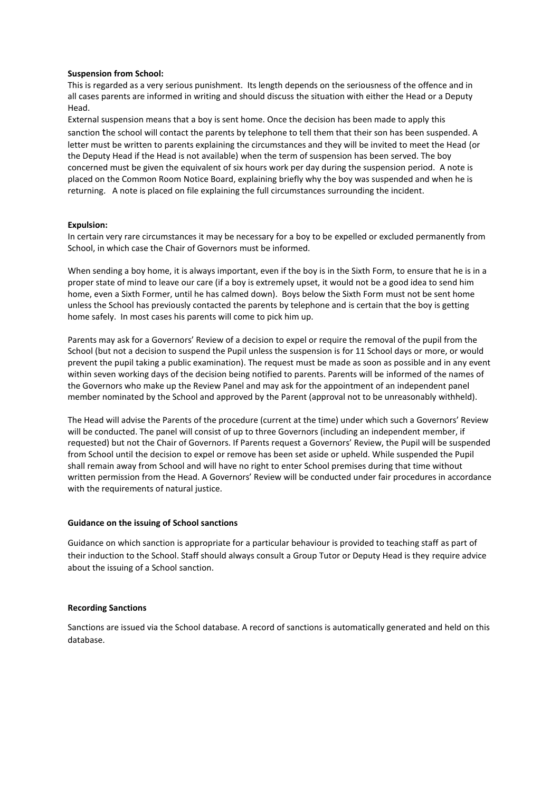## **Suspension from School:**

This is regarded as a very serious punishment.  Its length depends on the seriousness of the offence and in all cases parents are informed in writing and should discuss the situation with either the Head or a Deputy Head.

External suspension means that a boy is sent home. Once the decision has been made to apply this sanction the school will contact the parents by telephone to tell them that their son has been suspended. A letter must be written to parents explaining the circumstances and they will be invited to meet the Head (or the Deputy Head if the Head is not available) when the term of suspension has been served. The boy concerned must be given the equivalent of six hours work per day during the suspension period. A note is placed on the Common Room Notice Board, explaining briefly why the boy was suspended and when he is returning. A note is placed on file explaining the full circumstances surrounding the incident.

## **Expulsion:**

In certain very rare circumstances it may be necessary for a boy to be expelled or excluded permanently from School, in which case the Chair of Governors must be informed. 

When sending a boy home, it is always important, even if the boy is in the Sixth Form, to ensure that he is in a proper state of mind to leave our care (if a boy is extremely upset, it would not be a good idea to send him home, even a Sixth Former, until he has calmed down).  Boys below the Sixth Form must not be sent home unless the School has previously contacted the parents by telephone and is certain that the boy is getting home safely.  In most cases his parents will come to pick him up.

Parents may ask for a Governors' Review of a decision to expel or require the removal of the pupil from the School (but not a decision to suspend the Pupil unless the suspension is for 11 School days or more, or would prevent the pupil taking a public examination). The request must be made as soon as possible and in any event within seven working days of the decision being notified to parents. Parents will be informed of the names of the Governors who make up the Review Panel and may ask for the appointment of an independent panel member nominated by the School and approved by the Parent (approval not to be unreasonably withheld).

The Head will advise the Parents of the procedure (current at the time) under which such a Governors' Review will be conducted. The panel will consist of up to three Governors (including an independent member, if requested) but not the Chair of Governors. If Parents request a Governors' Review, the Pupil will be suspended from School until the decision to expel or remove has been set aside or upheld. While suspended the Pupil shall remain away from School and will have no right to enter School premises during that time without written permission from the Head. A Governors' Review will be conducted under fair procedures in accordance with the requirements of natural justice.

#### **Guidance on the issuing of School sanctions**

Guidance on which sanction is appropriate for a particular behaviour is provided to teaching staff as part of their induction to the School. Staff should always consult a Group Tutor or Deputy Head is they require advice about the issuing of a School sanction.

#### **Recording Sanctions**

Sanctions are issued via the School database. A record of sanctions is automatically generated and held on this database.